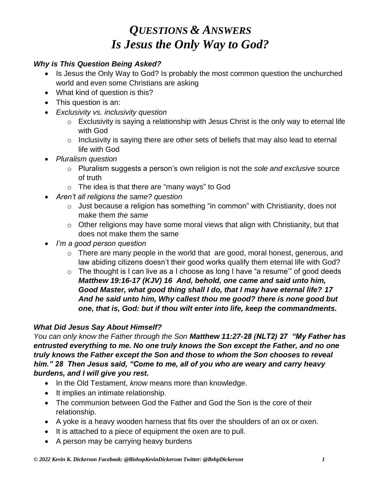### *Why is This Question Being Asked?*

- Is Jesus the Only Way to God? Is probably the most common question the unchurched world and even some Christians are asking
- What kind of question is this?
- This question is an:
- *Exclusivity vs. inclusivity question*
	- $\circ$  Exclusivity is saying a relationship with Jesus Christ is the only way to eternal life with God
	- o Inclusivity is saying there are other sets of beliefs that may also lead to eternal life with God
- *Pluralism question*
	- o Pluralism suggests a person's own religion is not the *sole and exclusive* source of truth
	- o The idea is that there are "many ways" to God
- *Aren't all religions the same? question*
	- o Just because a religion has something "in common" with Christianity, does not make them *the same*
	- $\circ$  Other religions may have some moral views that align with Christianity, but that does not make them the same
- *I'm a good person question*
	- o There are many people in the world that are good, moral honest, generous, and law abiding citizens doesn't their good works qualify them eternal life with God?
	- $\circ$  The thought is I can live as a I choose as long I have "a resume" of good deeds *Matthew 19:16-17 (KJV) 16 And, behold, one came and said unto him, Good Master, what good thing shall I do, that I may have eternal life? 17 And he said unto him, Why callest thou me good? there is none good but one, that is, God: but if thou wilt enter into life, keep the commandments.*

### *What Did Jesus Say About Himself?*

*You can only know the Father through the Son Matthew 11:27-28 (NLT2) 27 "My Father has entrusted everything to me. No one truly knows the Son except the Father, and no one truly knows the Father except the Son and those to whom the Son chooses to reveal him." 28 Then Jesus said, "Come to me, all of you who are weary and carry heavy burdens, and I will give you rest.*

- In the Old Testament, *know* means more than knowledge.
- It implies an intimate relationship.
- The communion between God the Father and God the Son is the core of their relationship.
- A yoke is a heavy wooden harness that fits over the shoulders of an ox or oxen.
- It is attached to a piece of equipment the oxen are to pull.
- A person may be carrying heavy burdens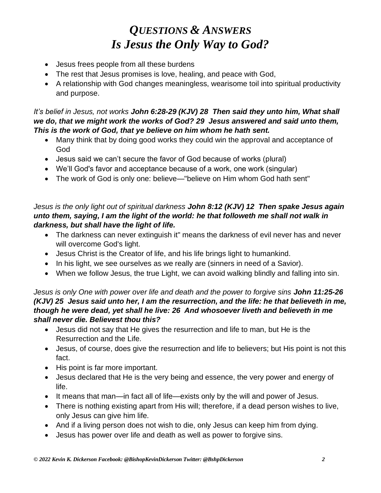- Jesus frees people from all these burdens
- The rest that Jesus promises is love, healing, and peace with God,
- A relationship with God changes meaningless, wearisome toil into spiritual productivity and purpose.

### *It's belief in Jesus, not works John 6:28-29 (KJV) 28 Then said they unto him, What shall we do, that we might work the works of God? 29 Jesus answered and said unto them, This is the work of God, that ye believe on him whom he hath sent.*

- Many think that by doing good works they could win the approval and acceptance of God
- Jesus said we can't secure the favor of God because of works (plural)
- We'll God's favor and acceptance because of a work, one work (singular)
- The work of God is only one: believe—"believe on Him whom God hath sent"

### *Jesus is the only light out of spiritual darkness John 8:12 (KJV) 12 Then spake Jesus again unto them, saying, I am the light of the world: he that followeth me shall not walk in darkness, but shall have the light of life.*

- The darkness can never extinguish it" means the darkness of evil never has and never will overcome God's light.
- Jesus Christ is the Creator of life, and his life brings light to humankind.
- In his light, we see ourselves as we really are (sinners in need of a Savior).
- When we follow Jesus, the true Light, we can avoid walking blindly and falling into sin.

#### *Jesus is only One with power over life and death and the power to forgive sins John 11:25-26 (KJV) 25 Jesus said unto her, I am the resurrection, and the life: he that believeth in me, though he were dead, yet shall he live: 26 And whosoever liveth and believeth in me shall never die. Believest thou this?*

- Jesus did not say that He gives the resurrection and life to man, but He is the Resurrection and the Life.
- Jesus, of course, does give the resurrection and life to believers; but His point is not this fact.
- His point is far more important.
- Jesus declared that He is the very being and essence, the very power and energy of life.
- It means that man—in fact all of life—exists only by the will and power of Jesus.
- There is nothing existing apart from His will; therefore, if a dead person wishes to live, only Jesus can give him life.
- And if a living person does not wish to die, only Jesus can keep him from dying.
- Jesus has power over life and death as well as power to forgive sins.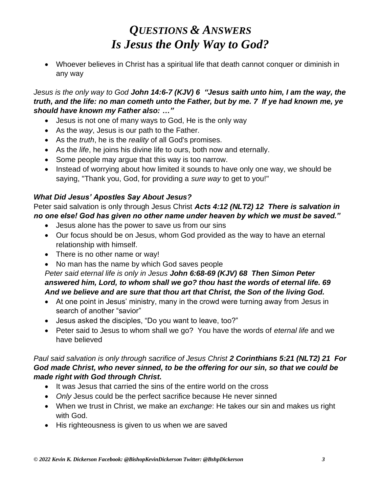• Whoever believes in Christ has a spiritual life that death cannot conquer or diminish in any way

### *Jesus is the only way to God John 14:6-7 (KJV) 6 "Jesus saith unto him, I am the way, the truth, and the life: no man cometh unto the Father, but by me. 7 If ye had known me, ye should have known my Father also: …"*

- Jesus is not one of many ways to God, He is the only way
- As the *way*, Jesus is our path to the Father.
- As the *truth*, he is the *reality* of all God's promises.
- As the *life*, he joins his divine life to ours, both now and eternally.
- Some people may argue that this way is too narrow.
- Instead of worrying about how limited it sounds to have only one way, we should be saying, "Thank you, God, for providing a *sure way* to get to you!"

### *What Did Jesus' Apostles Say About Jesus?*

Peter said salvation is only through Jesus Christ *Acts 4:12 (NLT2) 12 There is salvation in no one else! God has given no other name under heaven by which we must be saved."*

- Jesus alone has the power to save us from our sins
- Our focus should be on Jesus, whom God provided as the way to have an eternal relationship with himself.
- There is no other name or way!
- No man has the name by which God saves people

### *Peter said eternal life is only in Jesus John 6:68-69 (KJV) 68 Then Simon Peter answered him, Lord, to whom shall we go? thou hast the words of eternal life. 69 And we believe and are sure that thou art that Christ, the Son of the living God.*

- At one point in Jesus' ministry, many in the crowd were turning away from Jesus in search of another "savior"
- Jesus asked the disciples, "Do you want to leave, too?"
- Peter said to Jesus to whom shall we go? You have the words of *eternal life* and we have believed

#### *Paul said salvation is only through sacrifice of Jesus Christ 2 Corinthians 5:21 (NLT2) 21 For God made Christ, who never sinned, to be the offering for our sin, so that we could be made right with God through Christ.*

- It was Jesus that carried the sins of the entire world on the cross
- *Only* Jesus could be the perfect sacrifice because He never sinned
- When we trust in Christ, we make an *exchange*: He takes our sin and makes us right with God.
- His righteousness is given to us when we are saved